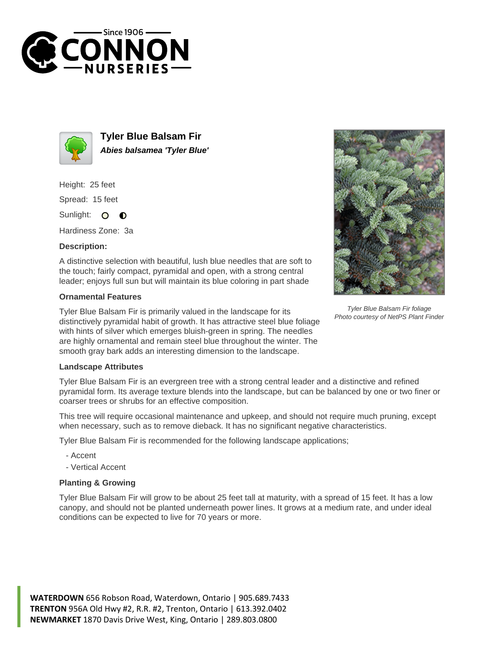



**Tyler Blue Balsam Fir Abies balsamea 'Tyler Blue'**

Height: 25 feet Spread: 15 feet

Sunlight: 0  $\bullet$ 

Hardiness Zone: 3a

## **Description:**

A distinctive selection with beautiful, lush blue needles that are soft to the touch; fairly compact, pyramidal and open, with a strong central leader; enjoys full sun but will maintain its blue coloring in part shade

## **Ornamental Features**

Tyler Blue Balsam Fir is primarily valued in the landscape for its distinctively pyramidal habit of growth. It has attractive steel blue foliage with hints of silver which emerges bluish-green in spring. The needles are highly ornamental and remain steel blue throughout the winter. The smooth gray bark adds an interesting dimension to the landscape.



Tyler Blue Balsam Fir foliage Photo courtesy of NetPS Plant Finder

## **Landscape Attributes**

Tyler Blue Balsam Fir is an evergreen tree with a strong central leader and a distinctive and refined pyramidal form. Its average texture blends into the landscape, but can be balanced by one or two finer or coarser trees or shrubs for an effective composition.

This tree will require occasional maintenance and upkeep, and should not require much pruning, except when necessary, such as to remove dieback. It has no significant negative characteristics.

Tyler Blue Balsam Fir is recommended for the following landscape applications;

- Accent

- Vertical Accent

## **Planting & Growing**

Tyler Blue Balsam Fir will grow to be about 25 feet tall at maturity, with a spread of 15 feet. It has a low canopy, and should not be planted underneath power lines. It grows at a medium rate, and under ideal conditions can be expected to live for 70 years or more.

**WATERDOWN** 656 Robson Road, Waterdown, Ontario | 905.689.7433 **TRENTON** 956A Old Hwy #2, R.R. #2, Trenton, Ontario | 613.392.0402 **NEWMARKET** 1870 Davis Drive West, King, Ontario | 289.803.0800